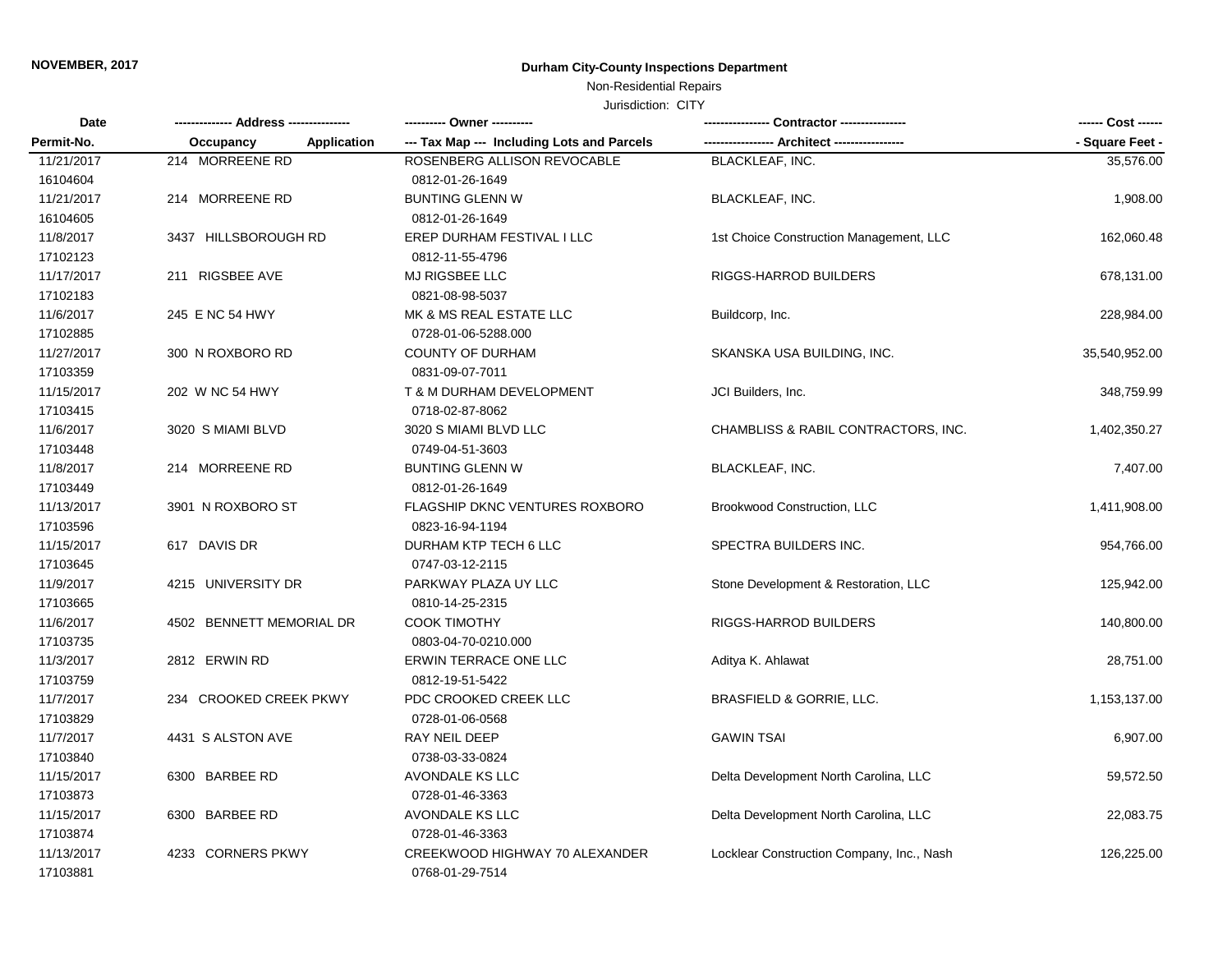### **NOVEMBER, 2017 Durham City-County Inspections Department**

## Non-Residential Repairs

#### Jurisdiction: CITY

| Date       |                          |                                            |                                           | ------ Cost ------ |
|------------|--------------------------|--------------------------------------------|-------------------------------------------|--------------------|
| Permit-No. | Application<br>Occupancy | --- Tax Map --- Including Lots and Parcels |                                           | - Square Feet -    |
| 11/21/2017 | 214 MORREENE RD          | ROSENBERG ALLISON REVOCABLE                | <b>BLACKLEAF, INC.</b>                    | 35,576.00          |
| 16104604   |                          | 0812-01-26-1649                            |                                           |                    |
| 11/21/2017 | 214 MORREENE RD          | <b>BUNTING GLENN W</b>                     | <b>BLACKLEAF, INC.</b>                    | 1,908.00           |
| 16104605   |                          | 0812-01-26-1649                            |                                           |                    |
| 11/8/2017  | 3437 HILLSBOROUGH RD     | EREP DURHAM FESTIVAL I LLC                 | 1st Choice Construction Management, LLC   | 162,060.48         |
| 17102123   |                          | 0812-11-55-4796                            |                                           |                    |
| 11/17/2017 | 211 RIGSBEE AVE          | MJ RIGSBEE LLC                             | <b>RIGGS-HARROD BUILDERS</b>              | 678,131.00         |
| 17102183   |                          | 0821-08-98-5037                            |                                           |                    |
| 11/6/2017  | 245 E NC 54 HWY          | MK & MS REAL ESTATE LLC                    | Buildcorp, Inc.                           | 228,984.00         |
| 17102885   |                          | 0728-01-06-5288.000                        |                                           |                    |
| 11/27/2017 | 300 N ROXBORO RD         | <b>COUNTY OF DURHAM</b>                    | SKANSKA USA BUILDING, INC.                | 35,540,952.00      |
| 17103359   |                          | 0831-09-07-7011                            |                                           |                    |
| 11/15/2017 | 202 W NC 54 HWY          | T & M DURHAM DEVELOPMENT                   | JCI Builders, Inc.                        | 348,759.99         |
| 17103415   |                          | 0718-02-87-8062                            |                                           |                    |
| 11/6/2017  | 3020 S MIAMI BLVD        | 3020 S MIAMI BLVD LLC                      | CHAMBLISS & RABIL CONTRACTORS, INC.       | 1,402,350.27       |
| 17103448   |                          | 0749-04-51-3603                            |                                           |                    |
| 11/8/2017  | 214 MORREENE RD          | <b>BUNTING GLENN W</b>                     | <b>BLACKLEAF, INC.</b>                    | 7,407.00           |
| 17103449   |                          | 0812-01-26-1649                            |                                           |                    |
| 11/13/2017 | 3901 N ROXBORO ST        | FLAGSHIP DKNC VENTURES ROXBORO             | Brookwood Construction, LLC               | 1,411,908.00       |
| 17103596   |                          | 0823-16-94-1194                            |                                           |                    |
| 11/15/2017 | 617 DAVIS DR             | DURHAM KTP TECH 6 LLC                      | SPECTRA BUILDERS INC.                     | 954,766.00         |
| 17103645   |                          | 0747-03-12-2115                            |                                           |                    |
| 11/9/2017  | 4215 UNIVERSITY DR       | PARKWAY PLAZA UY LLC                       | Stone Development & Restoration, LLC      | 125,942.00         |
| 17103665   |                          | 0810-14-25-2315                            |                                           |                    |
| 11/6/2017  | 4502 BENNETT MEMORIAL DR | <b>COOK TIMOTHY</b>                        | RIGGS-HARROD BUILDERS                     | 140,800.00         |
| 17103735   |                          | 0803-04-70-0210.000                        |                                           |                    |
| 11/3/2017  | 2812 ERWIN RD            | ERWIN TERRACE ONE LLC                      | Aditya K. Ahlawat                         | 28,751.00          |
| 17103759   |                          | 0812-19-51-5422                            |                                           |                    |
| 11/7/2017  | 234 CROOKED CREEK PKWY   | PDC CROOKED CREEK LLC                      | BRASFIELD & GORRIE, LLC.                  | 1,153,137.00       |
| 17103829   |                          | 0728-01-06-0568                            |                                           |                    |
| 11/7/2017  | 4431 S ALSTON AVE        | RAY NEIL DEEP                              | <b>GAWIN TSAI</b>                         | 6,907.00           |
| 17103840   |                          | 0738-03-33-0824                            |                                           |                    |
| 11/15/2017 | 6300 BARBEE RD           | AVONDALE KS LLC                            | Delta Development North Carolina, LLC     | 59,572.50          |
| 17103873   |                          | 0728-01-46-3363                            |                                           |                    |
| 11/15/2017 | 6300 BARBEE RD           | AVONDALE KS LLC                            | Delta Development North Carolina, LLC     | 22,083.75          |
| 17103874   |                          | 0728-01-46-3363                            |                                           |                    |
| 11/13/2017 | 4233 CORNERS PKWY        | CREEKWOOD HIGHWAY 70 ALEXANDER             | Locklear Construction Company, Inc., Nash | 126,225.00         |
| 17103881   |                          | 0768-01-29-7514                            |                                           |                    |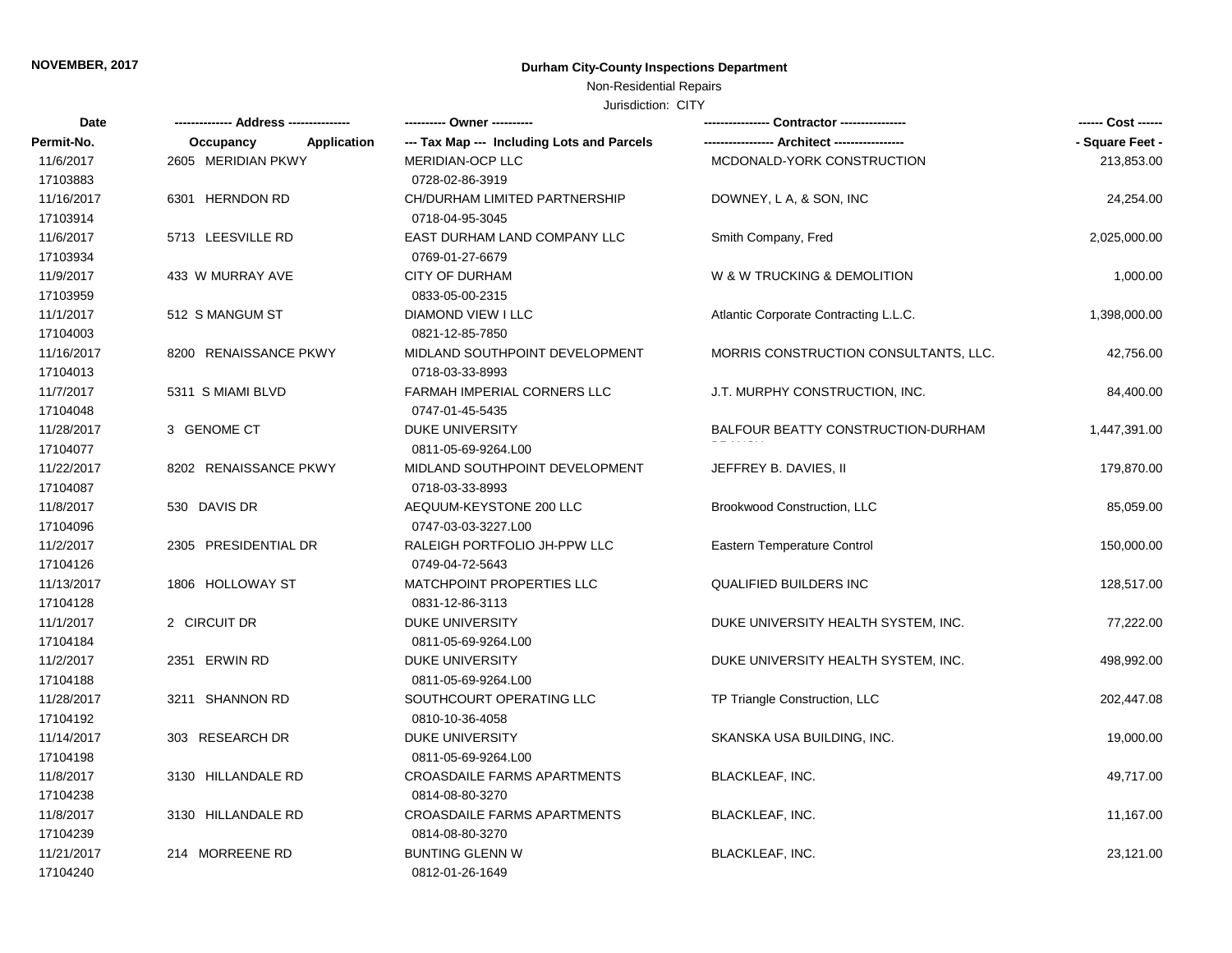### **NOVEMBER, 2017 Durham City-County Inspections Department**

## Non-Residential Repairs

#### Jurisdiction: CITY

| Date       |                                 |                                            |                                       | ------ Cost ------ |
|------------|---------------------------------|--------------------------------------------|---------------------------------------|--------------------|
| Permit-No. | <b>Application</b><br>Occupancy | --- Tax Map --- Including Lots and Parcels |                                       | - Square Feet -    |
| 11/6/2017  | 2605 MERIDIAN PKWY              | MERIDIAN-OCP LLC                           | MCDONALD-YORK CONSTRUCTION            | 213,853.00         |
| 17103883   |                                 | 0728-02-86-3919                            |                                       |                    |
| 11/16/2017 | 6301 HERNDON RD                 | CH/DURHAM LIMITED PARTNERSHIP              | DOWNEY, L A, & SON, INC               | 24,254.00          |
| 17103914   |                                 | 0718-04-95-3045                            |                                       |                    |
| 11/6/2017  | 5713 LEESVILLE RD               | EAST DURHAM LAND COMPANY LLC               | Smith Company, Fred                   | 2,025,000.00       |
| 17103934   |                                 | 0769-01-27-6679                            |                                       |                    |
| 11/9/2017  | 433 W MURRAY AVE                | <b>CITY OF DURHAM</b>                      | W & W TRUCKING & DEMOLITION           | 1,000.00           |
| 17103959   |                                 | 0833-05-00-2315                            |                                       |                    |
| 11/1/2017  | 512 S MANGUM ST                 | <b>DIAMOND VIEW I LLC</b>                  | Atlantic Corporate Contracting L.L.C. | 1,398,000.00       |
| 17104003   |                                 | 0821-12-85-7850                            |                                       |                    |
| 11/16/2017 | 8200 RENAISSANCE PKWY           | MIDLAND SOUTHPOINT DEVELOPMENT             | MORRIS CONSTRUCTION CONSULTANTS, LLC. | 42,756.00          |
| 17104013   |                                 | 0718-03-33-8993                            |                                       |                    |
| 11/7/2017  | 5311 S MIAMI BLVD               | FARMAH IMPERIAL CORNERS LLC                | J.T. MURPHY CONSTRUCTION, INC.        | 84,400.00          |
| 17104048   |                                 | 0747-01-45-5435                            |                                       |                    |
| 11/28/2017 | 3 GENOME CT                     | DUKE UNIVERSITY                            | BALFOUR BEATTY CONSTRUCTION-DURHAM    | 1,447,391.00       |
| 17104077   |                                 | 0811-05-69-9264.L00                        |                                       |                    |
| 11/22/2017 | 8202 RENAISSANCE PKWY           | MIDLAND SOUTHPOINT DEVELOPMENT             | JEFFREY B. DAVIES, II                 | 179,870.00         |
| 17104087   |                                 | 0718-03-33-8993                            |                                       |                    |
| 11/8/2017  | 530 DAVIS DR                    | AEQUUM-KEYSTONE 200 LLC                    | Brookwood Construction, LLC           | 85,059.00          |
| 17104096   |                                 | 0747-03-03-3227.L00                        |                                       |                    |
| 11/2/2017  | 2305 PRESIDENTIAL DR            | RALEIGH PORTFOLIO JH-PPW LLC               | <b>Eastern Temperature Control</b>    | 150,000.00         |
| 17104126   |                                 | 0749-04-72-5643                            |                                       |                    |
| 11/13/2017 | 1806 HOLLOWAY ST                | MATCHPOINT PROPERTIES LLC                  | <b>QUALIFIED BUILDERS INC</b>         | 128,517.00         |
| 17104128   |                                 | 0831-12-86-3113                            |                                       |                    |
| 11/1/2017  | 2 CIRCUIT DR                    | <b>DUKE UNIVERSITY</b>                     | DUKE UNIVERSITY HEALTH SYSTEM, INC.   | 77,222.00          |
| 17104184   |                                 | 0811-05-69-9264.L00                        |                                       |                    |
| 11/2/2017  | 2351 ERWIN RD                   | <b>DUKE UNIVERSITY</b>                     | DUKE UNIVERSITY HEALTH SYSTEM, INC.   | 498,992.00         |
| 17104188   |                                 | 0811-05-69-9264.L00                        |                                       |                    |
| 11/28/2017 | 3211 SHANNON RD                 | SOUTHCOURT OPERATING LLC                   | TP Triangle Construction, LLC         | 202,447.08         |
| 17104192   |                                 | 0810-10-36-4058                            |                                       |                    |
| 11/14/2017 | 303 RESEARCH DR                 | <b>DUKE UNIVERSITY</b>                     | SKANSKA USA BUILDING, INC.            | 19,000.00          |
| 17104198   |                                 | 0811-05-69-9264.L00                        |                                       |                    |
| 11/8/2017  | 3130 HILLANDALE RD              | <b>CROASDAILE FARMS APARTMENTS</b>         | <b>BLACKLEAF, INC.</b>                | 49,717.00          |
| 17104238   |                                 | 0814-08-80-3270                            |                                       |                    |
| 11/8/2017  | 3130 HILLANDALE RD              | CROASDAILE FARMS APARTMENTS                | <b>BLACKLEAF, INC.</b>                | 11,167.00          |
| 17104239   |                                 | 0814-08-80-3270                            |                                       |                    |
| 11/21/2017 | 214 MORREENE RD                 | <b>BUNTING GLENN W</b>                     | <b>BLACKLEAF, INC.</b>                | 23,121.00          |
| 17104240   |                                 | 0812-01-26-1649                            |                                       |                    |